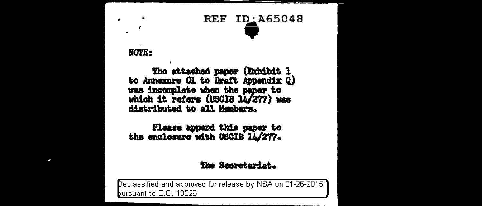# **REF ID: A65048**

#### NOTE:

 $\bullet$ 

×

The attached paper (Exhibit 1 to Annexure Ol to Draft Appendix Q) was incomplete when the paper to which it refers (USCIB 14/277) was distributed to all Members.

Please append this paper to<br>the enclosure with USCIB 14/277.

#### The Secretariat.

Declassified and approved for release by NSA on 01-26-2015 bursuant to E.O. 13526.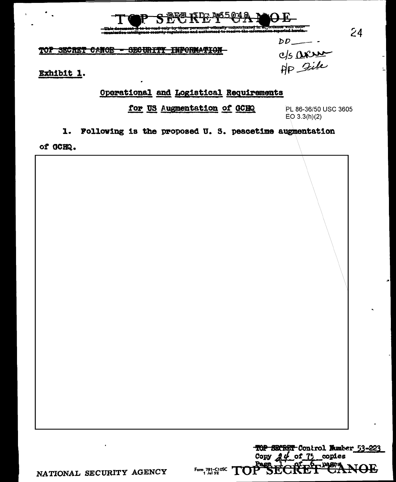

### TOP SECRET CANOE - SECURITY INFORMATION

Exhibit 1.

## Operational and Logistical Requirements

for US Augmentation of GCHQ

PL 86-36/50 USC 3605  $EO\ 3.3(h)(2)$ 

 $DD$ <sub>-</sub>

c/s arre

 $24$ 

1. Following is the proposed U.S. peacetime augmentation

of GCHQ.

TOP SECRET Control Number 53-223 Copy  $24$  of 75 copies Form 781-C10SC  $TOP$ <del>1012</del>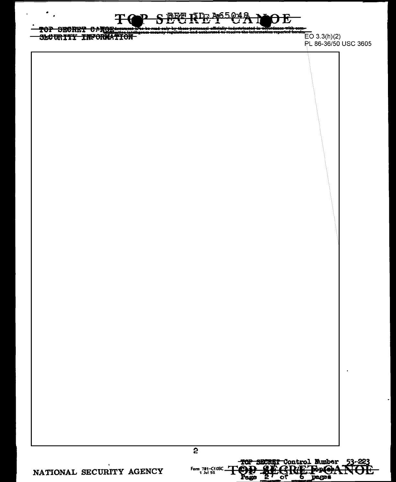$\frac{1}{100}$   $\frac{1}{100}$   $\frac{1}{100}$   $\frac{1}{100}$   $\frac{1}{100}$   $\frac{1}{100}$   $\frac{1}{100}$   $\frac{1}{100}$   $\frac{1}{100}$   $\frac{1}{100}$   $\frac{1}{100}$   $\frac{1}{100}$   $\frac{1}{100}$   $\frac{1}{100}$   $\frac{1}{100}$   $\frac{1}{100}$   $\frac{1}{100}$   $\frac{1}{100}$   $\frac{1$ 

PL 86-36/50 USC 3605

 $\bullet$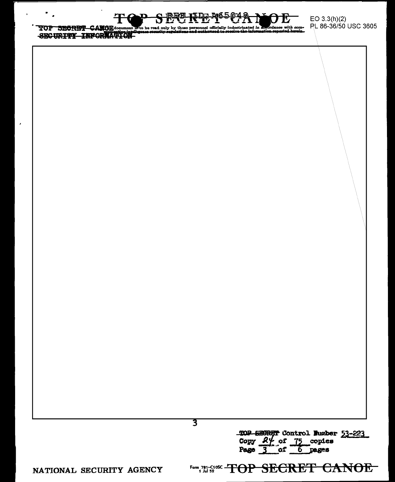4465Q49 лад स्फि

TOP SECRET CANOB document E to be read only by those personnel officially indoctrinated in accordance with com-<br>SECURITY INFORMATION

 $\blacksquare$ 

**3** 

TOP SECRET Control Fumber 53-223 Copy 2% of 75 copies Page 3 of 6 pages

**NATIONAL SECURITY AGENCY** 

Form, 791-5100 TOP SECRET CANOE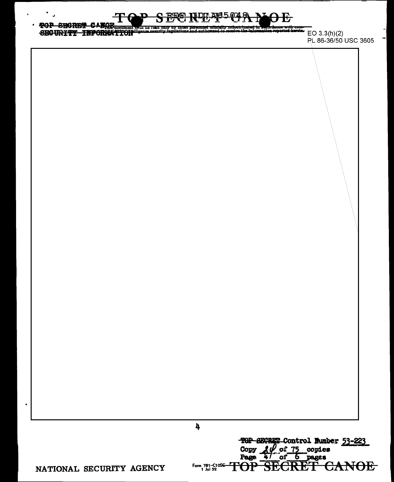#### $\ddot{\phantom{0}}$ **FOP SHORES CAMOR**<br>SECURITY INFORMATION ligance sequely regulations and suth - - -EO  $3.3(h)(2)$

PL 86-36/50 USC 3605

۳

 $\pmb{\lambda}$ 

Form 781-C10SC-<br>1 Jul 52

**TOP** 

TOP SECRET Control Munber 53-223

स्टिम

<del>CANOE</del>

Copy 20 of 75 copies

NATIONAL SECURITY AGENCY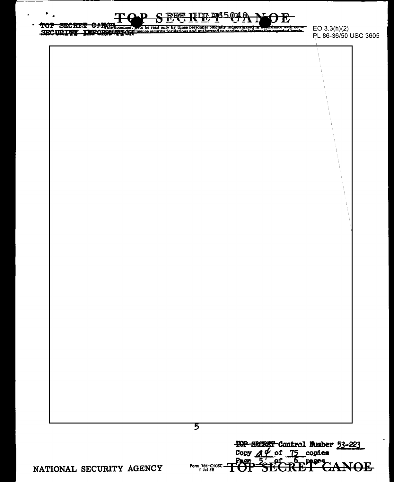

5

Form 781-C10SC.<br>1 Jul 52

TOP SECRET Control Number 53-223

SKEFF

, pages

<del>CANOE</del>

Copy  $A \notin \text{of } 75$  copies

Page

TUI

TOP SECRET CARRICOLUMN and be read only by those personnel omdaily indocurinated in

 $EO 3.3(h)(2)$ PL 86-36/50 USC 3605